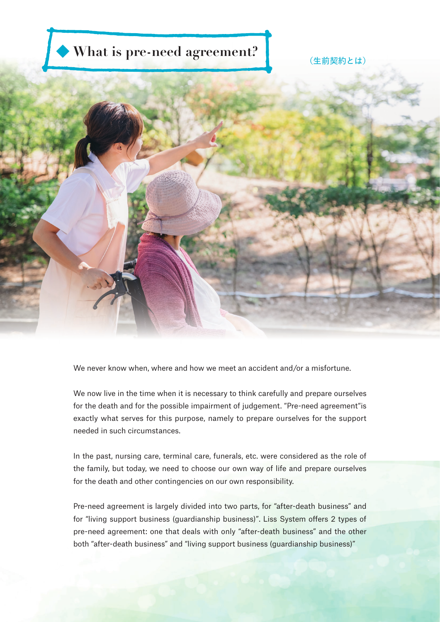# (生命契約) **What is pre-need agreement?**



We never know when, where and how we meet an accident and/or a misfortune.

We now live in the time when it is necessary to think carefully and prepare ourselves for the death and for the possible impairment of judgement. "Pre-need agreement"is exactly what serves for this purpose, namely to prepare ourselves for the support needed in such circumstances.

In the past, nursing care, terminal care, funerals, etc. were considered as the role of the family, but today, we need to choose our own way of life and prepare ourselves for the death and other contingencies on our own responsibility.

Pre-need agreement is largely divided into two parts, for "after-death business" and for "living support business (guardianship business)". Liss System offers 2 types of pre-need agreement: one that deals with only "after-death business" and the other both "after-death business" and "living support business (guardianship business)"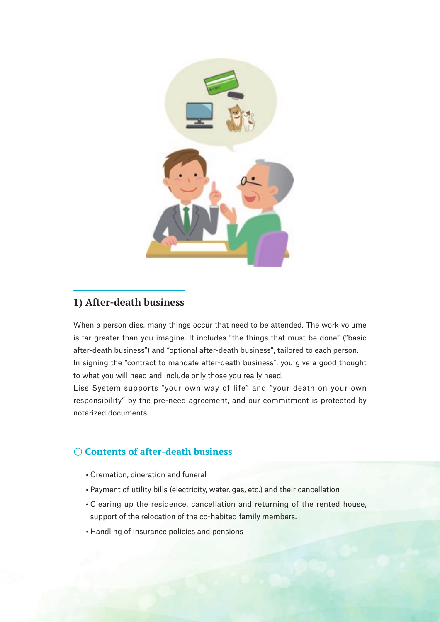

#### **1) After-death business**

When a person dies, many things occur that need to be attended. The work volume is far greater than you imagine. It includes "the things that must be done" ("basic after-death business") and "optional after-death business", tailored to each person. In signing the "contract to mandate after-death business", you give a good thought to what you will need and include only those you really need.

Liss System supports "your own way of life" and "your death on your own responsibility" by the pre-need agreement, and our commitment is protected by notarized documents.

## 〇 **Contents of after-death business**

- Cremation, cineration and funeral
- Payment of utility bills (electricity, water, gas, etc.) and their cancellation
- Clearing up the residence, cancellation and returning of the rented house, support of the relocation of the co-habited family members.
- Handling of insurance policies and pensions